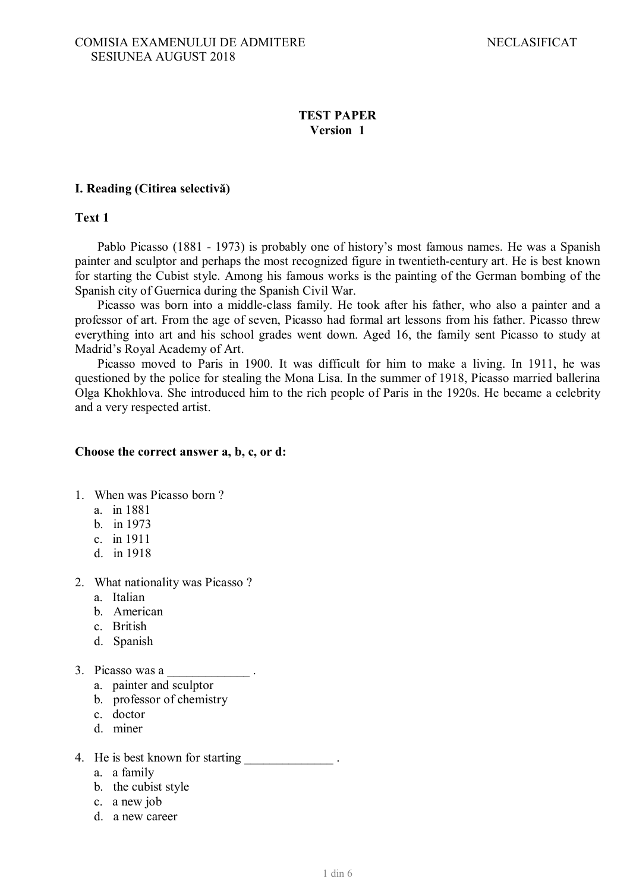#### **TEST PAPER Version 1**

#### **I. Reading (Citirea selectivă)**

**Text 1**

Pablo Picasso (1881 - 1973) is probably one of history's most famous names. He was a Spanish painter and sculptor and perhaps the most recognized figure in twentieth-century art. He is best known for starting the Cubist style. Among his famous works is the painting of the German bombing of the Spanish city of Guernica during the Spanish Civil War.

Picasso was born into a middle-class family. He took after his father, who also a painter and a professor of art. From the age of seven, Picasso had formal art lessons from his father. Picasso threw everything into art and his school grades went down. Aged 16, the family sent Picasso to study at Madrid's Royal Academy of Art.

Picasso moved to Paris in 1900. It was difficult for him to make a living. In 1911, he was questioned by the police for stealing the Mona Lisa. In the summer of 1918, Picasso married ballerina Olga Khokhlova. She introduced him to the rich people of Paris in the 1920s. He became a celebrity and a very respected artist.

#### **Choose the correct answer a, b, c, or d:**

- 1. When was Picasso born ?
	- a. in 1881
	- b. in 1973
	- c. in 1911
	- d. in 1918
- 2. What nationality was Picasso ?
	- a. Italian
	- b. American
	- c. British
	- d. Spanish
- 3. Picasso was a \_\_\_\_\_\_\_\_\_\_\_\_\_ .
	- a. painter and sculptor
	- b. professor of chemistry
	- c. doctor
	- d. miner
- 4. He is best known for starting  $\blacksquare$ 
	- a. a family
	- b. the cubist style
	- c. a new job
	- d. a new career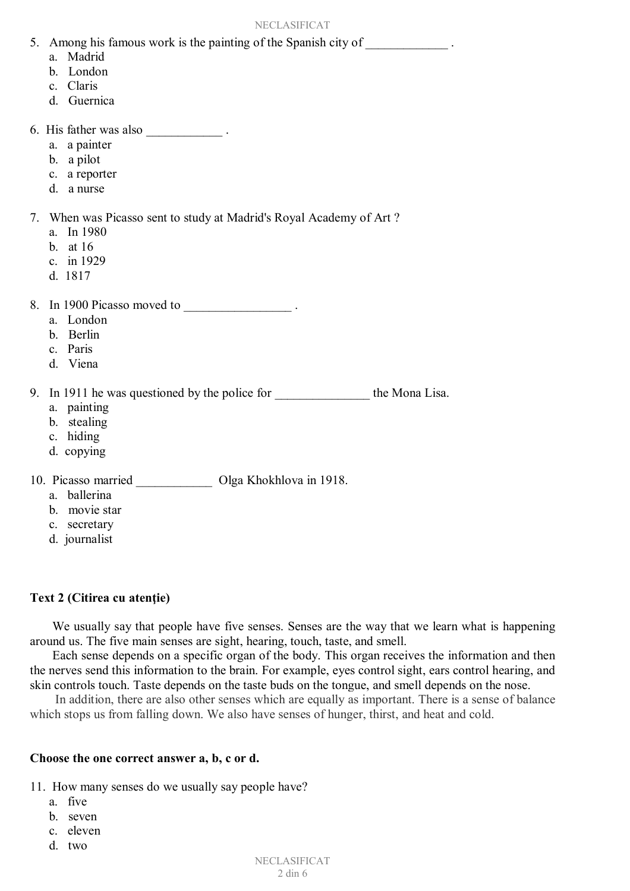- 5. Among his famous work is the painting of the Spanish city of \_\_\_\_\_\_\_\_\_\_\_\_\_\_\_\_.
	- a. Madrid
	- b. London
	- c. Claris
	- d. Guernica
- 6. His father was also
	- a. a painter
	- b. a pilot
	- c. a reporter
	- d. a nurse
- 7. When was Picasso sent to study at Madrid's Royal Academy of Art ?
	- a. In 1980
	- b. at 16
	- c. in 1929
	- d. 1817
- 8. In 1900 Picasso moved to  $\blacksquare$ 
	- a. London
	- b. Berlin
	- c. Paris
	- d. Viena

9. In 1911 he was questioned by the police for the Mona Lisa.

- a. painting
- b. stealing
- c. hiding
- d. copying

10. Picasso married \_\_\_\_\_\_\_\_\_\_\_\_ Olga Khokhlova in 1918.

- a. ballerina
- b. movie star
- c. secretary
- d. journalist

# **Text 2 (Citirea cu atenţie)**

We usually say that people have five senses. Senses are the way that we learn what is happening around us. The five main senses are sight, hearing, touch, taste, and smell.

Each sense depends on a specific organ of the body. This organ receives the information and then the nerves send this information to the brain. For example, eyes control sight, ears control hearing, and skin controls touch. Taste depends on the taste buds on the tongue, and smell depends on the nose.

 In addition, there are also other senses which are equally as important. There is a sense of balance which stops us from falling down. We also have senses of hunger, thirst, and heat and cold.

#### **Choose the one correct answer a, b, c or d.**

11. How many senses do we usually say people have?

- a. five
- b. seven
- c. eleven
- d. two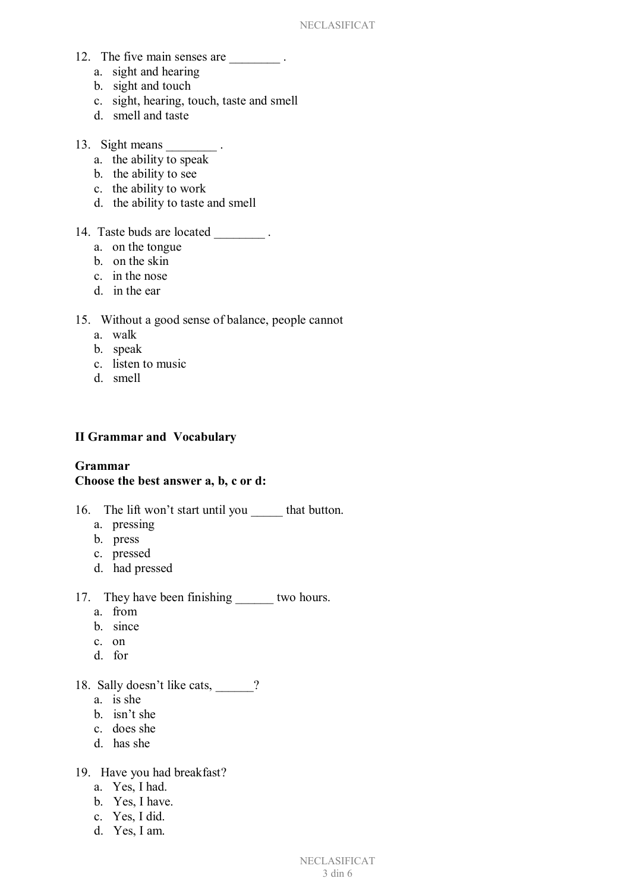- 12. The five main senses are  $\qquad \qquad$ .
	- a. sight and hearing
	- b. sight and touch
	- c. sight, hearing, touch, taste and smell
	- d. smell and taste
- 13. Sight means \_\_\_\_\_\_\_\_\_.
	- a. the ability to speak
	- b. the ability to see
	- c. the ability to work
	- d. the ability to taste and smell
- 14. Taste buds are located .
	- a. on the tongue
	- b. on the skin
	- c. in the nose
	- d. in the ear

#### 15. Without a good sense of balance, people cannot

- a. walk
- b. speak
- c. listen to music
- d. smell

# **II Grammar and Vocabulary**

#### **Grammar Choose the best answer a, b, c or d:**

- 16. The lift won't start until you \_\_\_\_\_\_ that button.
	- a. pressing
	- b. press
	- c. pressed
	- d. had pressed

# 17. They have been finishing two hours.

- a. from
- b. since
- c. on
- d. for
- 18. Sally doesn't like cats, \_\_\_\_\_?
	- a. is she
	- b. isn't she
	- c. does she
	- d. has she

# 19. Have you had breakfast?

- a. Yes, I had.
- b. Yes, I have.
- c. Yes, I did.
- d. Yes, I am.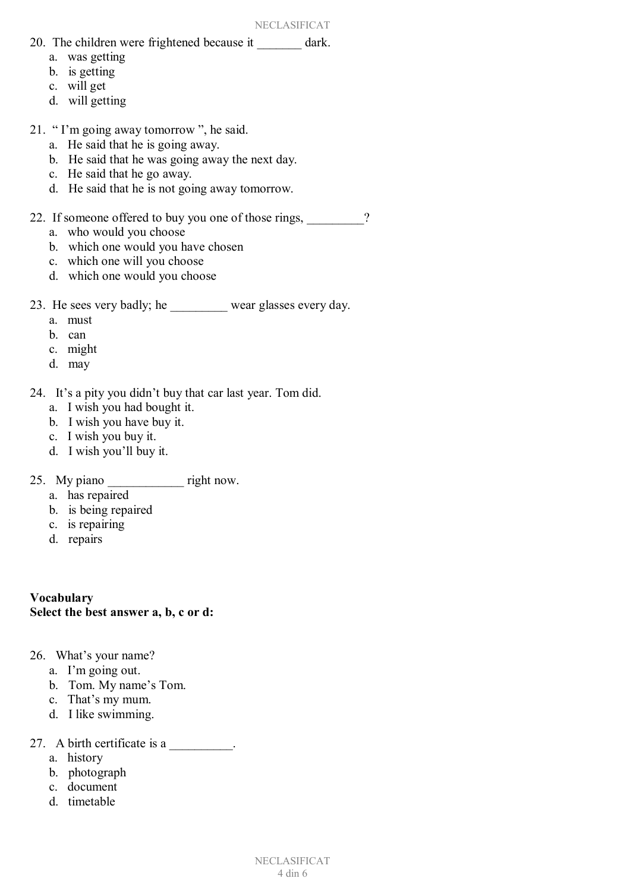- 20. The children were frightened because it dark.
	- a. was getting
	- b. is getting
	- c. will get
	- d. will getting
- 21. " I'm going away tomorrow ", he said.
	- a. He said that he is going away.
	- b. He said that he was going away the next day.
	- c. He said that he go away.
	- d. He said that he is not going away tomorrow.
- 22. If someone offered to buy you one of those rings,  $\frac{1}{2}$ ?
	- a. who would you choose
	- b. which one would you have chosen
	- c. which one will you choose
	- d. which one would you choose
- 23. He sees very badly; he wear glasses every day.
	- a. must
	- b. can
	- c. might
	- d. may
- 24. It's a pity you didn't buy that car last year. Tom did.
	- a. I wish you had bought it.
	- b. I wish you have buy it.
	- c. I wish you buy it.
	- d. I wish you'll buy it.
- 25. My piano \_\_\_\_\_\_\_\_\_\_\_\_\_\_\_ right now.
	- a. has repaired
	- b. is being repaired
	- c. is repairing
	- d. repairs

**Vocabulary Select the best answer a, b, c or d:**

- 26. What's your name?
	- a. I'm going out.
	- b. Tom. My name's Tom.
	- c. That's my mum.
	- d. I like swimming.
- 27. A birth certificate is a
	- a. history
	- b. photograph
	- c. document
	- d. timetable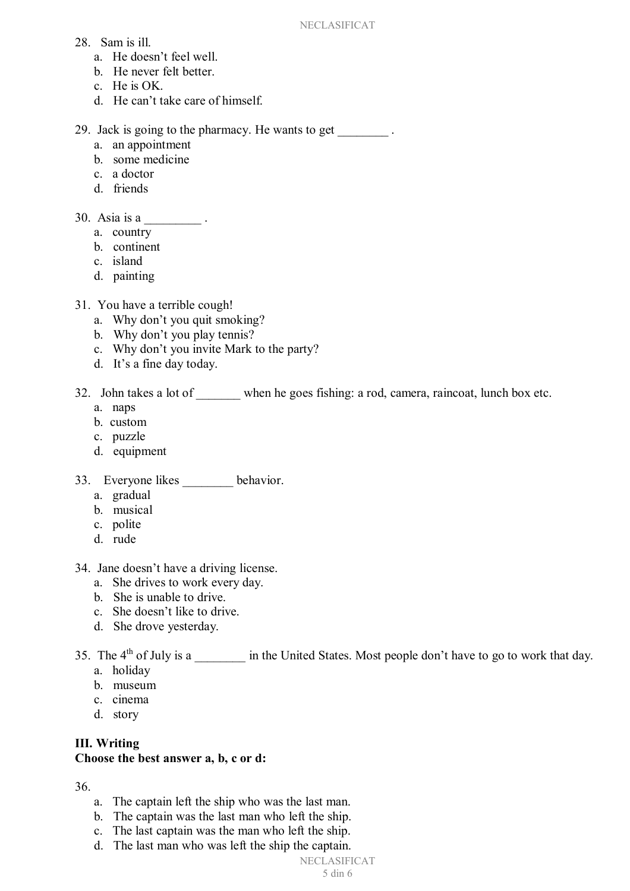- 28. Sam is ill.
	- a. He doesn't feel well.
	- b. He never felt better.
	- c. He is OK.
	- d. He can't take care of himself.

29. Jack is going to the pharmacy. He wants to get \_\_\_\_\_\_\_\_ .

- a. an appointment
- b. some medicine
- c. a doctor
- d. friends
- 30. Asia is a \_\_\_\_\_\_\_\_\_.
	- a. country
	- b. continent
	- c. island
	- d. painting
- 31. You have a terrible cough!
	- a. Why don't you quit smoking?
	- b. Why don't you play tennis?
	- c. Why don't you invite Mark to the party?
	- d. It's a fine day today.
- 32. John takes a lot of when he goes fishing: a rod, camera, raincoat, lunch box etc.
	- a. naps
	- b. custom
	- c. puzzle
	- d. equipment
- 33. Everyone likes behavior.
	- a. gradual
	- b. musical
	- c. polite
	- d. rude
- 34. Jane doesn't have a driving license.
	- a. She drives to work every day.
	- b. She is unable to drive.
	- c. She doesn't like to drive.
	- d. She drove yesterday.
- 35. The 4<sup>th</sup> of July is a \_\_\_\_\_\_\_\_ in the United States. Most people don't have to go to work that day.
	- a. holiday
	- b. museum
	- c. cinema
	- d. story

#### **III. Writing Choose the best answer a, b, c or d:**

# 36.

- a. The captain left the ship who was the last man.
- b. The captain was the last man who left the ship.
- c. The last captain was the man who left the ship.
- d. The last man who was left the ship the captain.